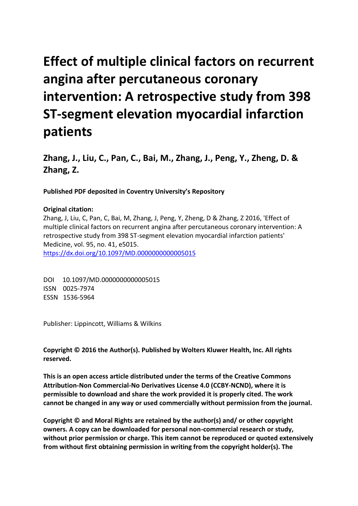# **Effect of multiple clinical factors on recurrent angina after percutaneous coronary intervention: A retrospective study from 398 ST-segment elevation myocardial infarction patients**

**Zhang, J., Liu, C., Pan, C., Bai, M., Zhang, J., Peng, Y., Zheng, D. & Zhang, Z.**

**Published PDF deposited in Coventry University's Repository** 

### **Original citation:**

Zhang, J, Liu, C, Pan, C, Bai, M, Zhang, J, Peng, Y, Zheng, D & Zhang, Z 2016, 'Effect of multiple clinical factors on recurrent angina after percutaneous coronary intervention: A retrospective study from 398 ST-segment elevation myocardial infarction patients' Medicine, vol. 95, no. 41, e5015. https://dx.doi.org/10.1097/MD.0000000000005015

DOI 10.1097/MD.0000000000005015 ISSN 0025-7974 ESSN 1536-5964

Publisher: Lippincott, Williams & Wilkins

**Copyright © 2016 the Author(s). Published by Wolters Kluwer Health, Inc. All rights reserved.**

**This is an open access article distributed under the terms of the Creative Commons Attribution-Non Commercial-No Derivatives License 4.0 (CCBY-NCND), where it is permissible to download and share the work provided it is properly cited. The work cannot be changed in any way or used commercially without permission from the journal.**

**Copyright © and Moral Rights are retained by the author(s) and/ or other copyright owners. A copy can be downloaded for personal non-commercial research or study, without prior permission or charge. This item cannot be reproduced or quoted extensively from without first obtaining permission in writing from the copyright holder(s). The**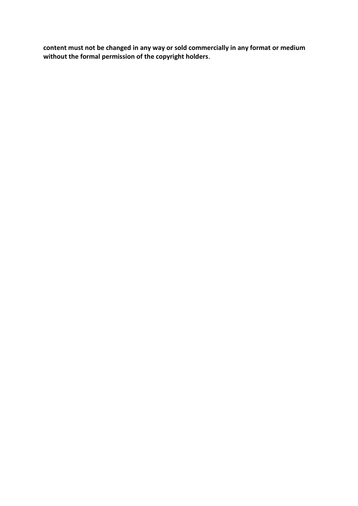**content must not be changed in any way or sold commercially in any format or medium without the formal permission of the copyright holders**.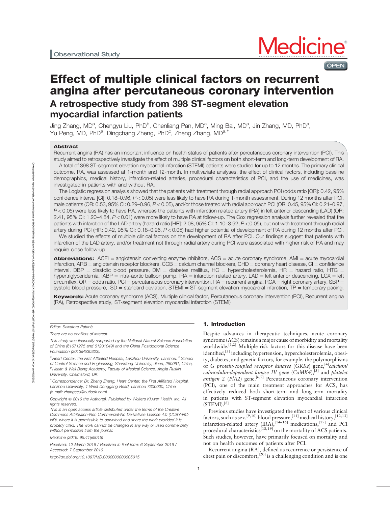**OPEN** 

## Effect of multiple clinical factors on recurrent angina after percutaneous coronary intervention A retrospective study from 398 ST-segment elevation myocardial infarction patients

Jing Zhang, MD<sup>a</sup>, Chengyu Liu, PhD<sup>b</sup>, Chenliang Pan, MD<sup>a</sup>, Ming Bai, MD<sup>a</sup>, Jin Zhang, MD, PhD<sup>a</sup>, Yu Peng, MD, PhD<sup>a</sup>, Dingchang Zheng, PhD<sup>c</sup>, Zheng Zhang, MD<sup>a,∗</sup>

#### Abstract

Recurrent angina (RA) has an important influence on health status of patients after percutaneous coronary intervention (PCI). This study aimed to retrospectively investigate the effect of multiple clinical factors on both short-term and long-term development of RA.

A total of 398 ST-segment elevation myocardial infarction (STEMI) patients were studied for up to 12 months. The primary clinical outcome, RA, was assessed at 1-month and 12-month. In multivariate analyses, the effect of clinical factors, including baseline demographics, medical history, infarction-related arteries, procedural characteristics of PCI, and the use of medicines, was investigated in patients with and without RA.

The Logistic regression analysis showed that the patients with treatment through radial approach PCI (odds ratio [OR]: 0.42, 95% confidence interval [CI]: 0.18–0.96, P<0.05) were less likely to have RA during 1-month assessment. During 12 months after PCI, male patients (OR: 0.53, 95% CI: 0.29–0.96, P<0.05), and/or those treated with radial approach PCI (OR: 0.45, 95% CI: 0.21–0.97,  $P$ <0.05) were less likely to have RA, whereas the patients with infarction related artery (IRA) in left anterior descending (LAD) (OR: 2.41, 95% CI: 1.20–4.84, P<0.01) were more likely to have RA at follow-up. The Cox regression analysis further revealed that the patients with infarction of the LAD artery (hazard ratio [HR]: 2.08, 95% CI: 1.10–3.92, P<0.05), but not with treatment through radial artery during PCI (HR: 0.42, 95% CI: 0.18–0.96, P<0.05) had higher potential of development of RA during 12 months after PCI.

We studied the effects of multiple clinical factors on the development of RA after PCI. Our findings suggest that patients with infarction of the LAD artery, and/or treatment not through radial artery during PCI were associated with higher risk of RA and may require close follow-up.

**Abbreviations:** ACEI = angiotensin converting enzyme inhibitors,  $ACS =$  acute coronary syndrome,  $AMI =$  acute myocardial infarction, ARB = angiotensin receptor blockers, CCB = calcium channel blockers, CHD = coronary heart disease, CI = confidence interval, DBP = diastolic blood pressure,  $DM =$  diabetes mellitus,  $HC =$  hypercholesterolemia,  $HR =$  hazard ratio, HTG = hypertriglyceridemia, IABP = intra-aortic balloon pump, IRA = infarction related artery, LAD = left anterior descending, LCX = left circumflex,  $OR =$  odds ratio,  $PCl =$  percutaneous coronary intervention,  $RA =$  recurrent angina,  $RCA =$  right coronary artery,  $SBP =$ systolic blood pressure,, SD = standard deviation, STEMI = ST-segment elevation myocardial infarction, TP = temporary pacing.

Keywords: Acute coronary syndrome (ACS), Multiple clinical factor, Percutaneous coronary intervention (PCI), Recurrent angina (RA), Retrospective study, ST-segment elevation myocardial infarction (STEMI)

Editor: Salvatore Patanè.

There are no conflicts of interest.

This study was financially supported by the National Natural Science Foundation of China (61671275 and 61201049) and the China Postdoctoral Science Foundation (2013M530323).

∗ Correspondence: Dr. Zheng Zhang, Heart Center, the First Affiliated Hospital, Lanzhou University, 1 West Donggang Road, Lanzhou 7300000, China (e-mail: [zhangccu@outlook.com\).](mailto:zhangccu@outlook.com).)

Copyright © 2016 the Author(s). Published by Wolters Kluwer Health, Inc. All rights reserved.

This is an open access article distributed under the terms of the Creative Commons Attribution-Non Commercial-No Derivatives License 4.0 (CCBY-NC-ND), where it is permissible to download and share the work provided it is properly cited. The work cannot be changed in any way or used commercially without permission from the journal.

Medicine (2016) 95:41(e5015)

Received: 12 March 2016 / Received in final form: 6 September 2016 / Accepted: 7 September 2016

<http://dx.doi.org/10.1097/MD.0000000000005015>

#### 1. Introduction

Despite advances in therapeutic techniques, acute coronary syndrome (ACS) remains a major cause of morbidity and mortality worldwide.<sup>[1,2]</sup> Multiple risk factors for this disease have been identified,<sup>[3]</sup> including hypertension, hypercholesterolemia, obesity, diabetes, and genetic factors, for example, the polymorphisms of G protein-coupled receptor kinases (GRKs) gene,<sup>[4]</sup>calcium/ calmodulin-dependent kinase IV gene  $(CaMK4)$ , [5] and platelet antigen 2 ( $P[A2]$ ) gene.<sup>[6,7]</sup> Percutaneous coronary intervention (PCI), one of the main treatment approaches for ACS, has effectively reduced both short-term and long-term mortality in patients with ST-segment elevation myocardial infarction  $(STEMI).<sup>[8]</sup>$ 

Previous studies have investigated the effect of various clinical factors, such as sex,<sup>[9,10]</sup> blood pressure,<sup>[11]</sup> medical history,<sup>[12,13]</sup> infarction-related artery  $(IRA)$ ,  $[14-16]$  medications,  $[17]$  and PCI procedural characteristics<sup>[18,19]</sup> on the mortality of ACS patients. Such studies, however, have primarily focused on mortality and not on health outcomes of patients after PCI.

Recurrent angina (RA), defined as recurrence or persistence of chest pain or discomfort,<sup>[20]</sup> is a challenging condition and is one

Downloaded from https://journals.lww.com/md-journal by BhDMf5ePHKav1zEoum1tQfN4a+kJLhEZgbsIHo4XMi0hCywCX1AWnYQp/IlQrHD3z484KQalTVFgJP//0TWar2r3T2N7YgnZ/fEeK1sCXXo= on 01/29/2020

Downloaded from https://purnals.ww.com/md-joumal by BhDMf8eH-Having-Maria-Maria-Maria-Maria-Maria-Maria-Maria-Maria-Maria-Maria-Maria-Maria-Maria-Maria-Maria-Maria-Maria-Maria-Maria-Mar<br>Downloaded from https://purnals.mmd-

<sup>&</sup>lt;sup>a</sup> Heart Center, the First Affiliated Hospital, Lanzhou University, Lanzhou, <sup>b</sup> School of Control Science and Engineering, Shandong University, Jinan, 250061, China,  $c$  Health & Well Being Academy, Faculty of Medical Science, Anglia Ruskin University, Chelmsford, UK.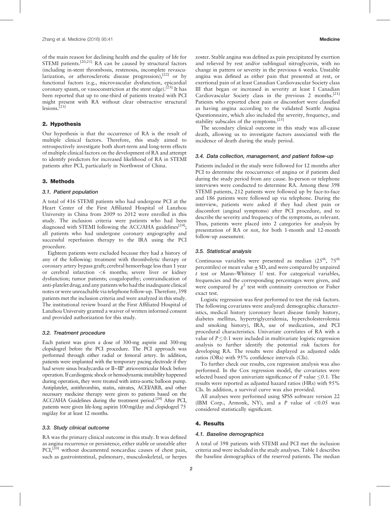of the main reason for declining health and the quality of life for STEMI patients. $[20,21]$  RA can be caused by structural factors (including in-stent thrombosis, restenosis, incomplete revascularization, or atherosclerotic disease progression), $[22]$  or by functional factors (e.g., microvascular dysfunction, epicardial coronary spasm, or vasoconstriction at the stent edge).<sup>[23]</sup> It has been reported that up to one-third of patients treated with PCI might present with RA without clear obstructive structural lesions.<sup>[23]</sup>

#### 2. Hypothesis

Our hypothesis is that the occurrence of RA is the result of multiple clinical factors. Therefore, this study aimed to retrospectively investigate both short-term and long-term effects of multiple clinical factors on the development of RA and attempt to identify predictors for increased likelihood of RA in STEMI patients after PCI, particularly in Northwest of China.

#### 3. Methods

#### 3.1. Patient population

A total of 416 STEMI patients who had undergone PCI at the Heart Center of the First Affiliated Hospital of Lanzhou University in China from 2009 to 2012 were enrolled in this study. The inclusion criteria were patients who had been diagnosed with STEMI following the ACC/AHA guidelines<sup>[24]</sup>; all patients who had undergone coronary angiography and successful reperfusion therapy to the IRA using the PCI procedure.

Eighteen patients were excluded because they had a history of any of the following: treatment with thrombolytic therapy or coronary artery bypass graft; cerebral hemorrhage less than 1 year or cerebral infarction <6 months; severe liver or kidney dysfunction; tumor patients; coagulopathy; contraindication of anti-platelet drug; and any patients who had the inadequate clinical notes or were unreachable via telephone follow-up. Therefore, 398 patients met the inclusion criteria and were analyzed in this study. The institutional review board at the First Affiliated Hospital of Lanzhou University granted a waiver of written informed consent and provided authorization for this study.

#### 3.2. Treatment procedure

Each patient was given a dose of 300-mg aspirin and 300-mg clopidogrel before the PCI procedure. The PCI approach was performed through either radial or femoral artery. In addition, patients were implanted with the temporary pacing electrode if they had severe sinus bradycardia or II∼III° atrioventricular block before operation. If cardiogenic shock or hemodynamic instability happened during operation, they were treated with intra-aortic balloon pump. Antiplatelet, antithrombin, statin, nitrates, ACEI/ARB, and other necessary medicine therapy were given to patients based on the ACC/AHA Guidelines during the treatment period.<sup>[24]</sup> After PCI, patients were given life-long aspirin 100mg/day and clopidogrel 75 mg/day for at least 12 months.

#### 3.3. Study clinical outcome

RA was the primary clinical outcome in this study. It was defined as angina recurrence or persistence, either stable or unstable after PCI, $^{[20]}$  without documented noncardiac causes of chest pain, such as gastrointestinal, pulmonary, musculoskeletal, or herpes zoster. Stable angina was defined as pain precipitated by exertion and relieved by rest and/or sublingual nitroglycerin, with no change in pattern or severity in the previous 6 weeks. Unstable angina was defined as either pain that presented at rest, or exertional pain of at least Canadian Cardiovascular Society class III that began or increased in severity at least I Canadian Cardiovascular Society class in the previous 2 months.<sup>[21]</sup> Patients who reported chest pain or discomfort were classified as having angina according to the validated Seattle Angina Questionnaire, which also included the severity, frequency, and stability subscales of the symptoms.[25]

The secondary clinical outcome in this study was all-cause death, allowing us to investigate factors associated with the incidence of death during the study period.

#### 3.4. Data collection, management, and patient follow-up

Patients included in the study were followed for 12 months after PCI to determine the reoccurrence of angina or if patients died during the study period from any cause. In-person or telephone interviews were conducted to determine RA. Among these 398 STEMI patients, 212 patients were followed up by face-to-face and 186 patients were followed up via telephone. During the interview, patients were asked if they had chest pain or discomfort (anginal symptoms) after PCI procedure, and to describe the severity and frequency of the symptoms, as relevant. Thus, patients were placed into 2 categories for analysis by presentation of RA or not, for both 1-month and 12-month follow-up assessment.

#### 3.5. Statistical analysis

Continuous variables were presented as median  $(25^{\text{th}}, 75^{\text{th}})$ percentiles) or mean value  $\pm$  SD, and were compared by unpaired t test or Mann–Whitney U test. For categorical variables, frequencies and the corresponding percentages were given, and were compared by  $\chi^2$  test with continuity correction or Fisher exact test.

Logistic regression was first performed to test the risk factors. The following covariates were analyzed: demographic characteristics, medical history (coronary heart disease family history, diabetes mellitus, hypertriglyceridemia, hypercholesterolemia and smoking history), IRA, use of medication, and PCI procedural characteristics. Univariate correlates of RA with a value of  $P \leq 0.1$  were included in multivariate logistic regression analysis to further identify the potential risk factors for developing RA. The results were displayed as adjusted odds ratios (ORs) with 95% confidence intervals (CIs).

To further check our results, cox regression analysis was also performed. In the Cox regression model, the covariates were selected based upon univariate significance of  $P$  value  $\leq 0.1$ . The results were reported as adjusted hazard ratios (HRs) with 95% CIs. In addition, a survival curve was also provided.

All analyses were performed using SPSS software version 22 (IBM Corp., Armonk, NY), and a P value of  $< 0.05$  was considered statistically significant.

#### 4. Results

#### 4.1. Baseline demographics

A total of 398 patients with STEMI and PCI met the inclusion criteria and were included in the study analyses. Table 1 describes the baseline demographics of the reserved patients. The median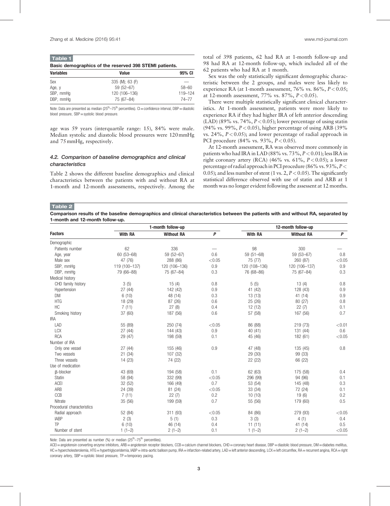Basic demographics of the reserved 398 STEMI patients.

| <b>Dasit Germographics of the reserved oso of Enir patients.</b> |                 |           |  |  |  |
|------------------------------------------------------------------|-----------------|-----------|--|--|--|
| <b>Variables</b>                                                 | 95% CI<br>Value |           |  |  |  |
| Sex                                                              | 335 (M); 63 (F) | $\sim$    |  |  |  |
| Age, y                                                           | $59(52 - 67)$   | $58 - 60$ |  |  |  |
| SBP, mmHq                                                        | 120 (106-136)   | 119-124   |  |  |  |
| DBP, mmHa                                                        | 75 (67-84)      | 74–77     |  |  |  |

Note: Data are presented as median ( $25<sup>th</sup>-75<sup>th</sup>$  percentiles). CI = confidence interval, DBP = diastolic blood pressure, SBP = systolic blood pressure.

age was 59 years (interquartile range: 15), 84% were male. Median systolic and diastolic blood pressures were 120mmHg and 75mmHg, respectively.

#### 4.2. Comparison of baseline demographics and clinical characteristics

Table 2 shows the different baseline demographics and clinical characteristics between the patients with and without RA at 1-month and 12-month assessments, respectively. Among the total of 398 patients, 62 had RA at 1-month follow-up and 98 had RA at 12-month follow-up, which included all of the 62 patients who had RA at 1 month.

Sex was the only statistically significant demographic characteristic between the 2 groups, and males were less likely to experience RA (at 1-month assessment,  $76\%$  vs.  $86\%, P < 0.05$ ; at 12-month assessment, 77% vs. 87%,  $P < 0.05$ ).

There were multiple statistically significant clinical characteristics. At 1-month assessment, patients were more likely to experience RA if they had higher IRA of left anterior descending (LAD) (89% vs. 74%,  $P < 0.05$ ); lower percentage of using statin (94% vs. 99%,  $P < 0.05$ ), higher percentage of using ARB (39%) vs. 24%,  $P < 0.05$ ); and lower percentage of radial approach in PCI procedure  $(84\% \text{ vs. } 93\%, P < 0.05)$ .

At 12-month assessment, RA was observed more commonly in patients who had IRA in LAD (88% vs.  $73\%, P < 0.01$ ); less IRA in right coronary artery (RCA) (46% vs. 61%,  $P < 0.05$ ); a lower percentage of radial approach in PCI procedure (86% vs. 93%, P< 0.05); and less number of stent (1 vs. 2,  $P < 0.05$ ). The significantly statistical difference observed with use of statin and ARB at 1 month was no longer evident following the assessent at 12 months.

Table 2

Comparison results of the baseline demographics and clinical characteristics between the patients with and without RA, separated by 1-month and 12-month follow-up.

|                            |                | 1-month follow-up | 12-month follow-up |                |                   |        |
|----------------------------|----------------|-------------------|--------------------|----------------|-------------------|--------|
| <b>Factors</b>             | <b>With RA</b> | <b>Without RA</b> | P                  | <b>With RA</b> | <b>Without RA</b> | P      |
| Demographic                |                |                   |                    |                |                   |        |
| Patients number            | 62             | 336               |                    | 98             | 300               |        |
| Age, year                  | 60 (53-68)     | 59 (52-67)        | 0.6                | $59(51 - 68)$  | 59 (53-67)        | 0.8    |
| Male sex                   | 47 (76)        | 288 (86)          | < 0.05             | 75 (77)        | 260 (87)          | < 0.05 |
| SBP, mmHq                  | 119 (100-137)  | 120 (106-136)     | 0.9                | 120 (108-136)  | 120 (106-137)     | 0.9    |
| DBP, mmHq                  | 79 (66-88)     | 75 (67-84)        | 0.3                | 76 (68-86)     | 75 (67-84)        | 0.3    |
| Medical history            |                |                   |                    |                |                   |        |
| CHD family history         | 3(5)           | 15(4)             | 0.8                | 5(5)           | 13(4)             | 0.8    |
| Hypertension               | 27 (44)        | 142 (42)          | 0.9                | 41 (42)        | 128 (43)          | 0.9    |
| <b>DM</b>                  | 6(10)          | 48 (14)           | 0.3                | 13(13)         | 41 (14)           | 0.9    |
| <b>HTG</b>                 | 18 (29)        | 87 (26)           | 0.6                | 25 (26)        | 80 (27)           | 0.8    |
| <b>HC</b>                  | 7(11)          | 27(8)             | 0.4                | 12 (12)        | 22(7)             | 0.1    |
| Smoking history            | 37 (60)        | 187 (56)          | 0.6                | 57 (58)        | 167 (56)          | 0.7    |
| <b>IRA</b>                 |                |                   |                    |                |                   |        |
| LAD                        | 55 (89)        | 250 (74)          | < 0.05             | 86 (88)        | 219 (73)          | < 0.01 |
| <b>LCX</b>                 | 27(44)         | 144 (43)          | 0.9                | 40 (41)        | 131 (44)          | 0.6    |
| <b>RCA</b>                 | 29 (47)        | 198 (59)          | 0.1                | 45 (46)        | 182 (61)          | < 0.05 |
| Number of IRA              |                |                   |                    |                |                   |        |
| Only one vessel            | 27 (44)        | 155 (46)          | 0.9                | 47 (48)        | 135 (45)          | 0.8    |
| Two vessels                | 21(34)         | 107 (32)          |                    | 29 (30)        | 99 (33)           |        |
| Three vessels              | 14 (23)        | 74 (22)           |                    | 22 (22)        | 66 (22)           |        |
| Use of medication          |                |                   |                    |                |                   |        |
| <b>B-blocker</b>           | 43 (69)        | 194 (58)          | 0.1                | 62 (63)        | 175 (58)          | 0.4    |
| Statin                     | 58 (94)        | 332 (99)          | < 0.05             | 296 (99)       | 94 (96)           | 0.1    |
| ACEI                       | 32 (52)        | 166 (49)          | 0.7                | 53 (54)        | 145 (48)          | 0.3    |
| ARB                        | 24 (39)        | 81 (24)           | < 0.05             | 33 (34)        | 72 (24)           | 0.1    |
| CCB                        | 7(11)          | 22(7)             | 0.2                | 10(10)         | 19(6)             | 0.2    |
| Nitrate                    | 35 (56)        | 199 (59)          | 0.7                | 55 (56)        | 179 (60)          | 0.5    |
| Procedural characteristics |                |                   |                    |                |                   |        |
| Radial approach            | 52 (84)        | 311 (93)          | < 0.05             | 84 (86)        | 279 (93)          | < 0.05 |
| <b>IABP</b>                | 2(3)           | 5(1)              | 0.3                | 3(3)           | 4(1)              | 0.4    |
| TP                         | 6(10)          | 46 (14)           | 0.4                | 11(11)         | 41 (14)           | 0.5    |
| Number of stent            | $1(1-2)$       | $2(1-2)$          | 0.1                | $1(1-2)$       | $2(1-2)$          | < 0.05 |

Note: Data are presented as number (%) or median ( $25<sup>th</sup>-75<sup>th</sup>$  percentiles).

ACEI=angiotensin converting enzyme inhibitors, ARB=angiotensin receptor blockers, CCB=calcium channel blockers, CHD=coronary heart disease, DBP=diastolic blood pressure, DM=diabetes mellitus, HC=hypercholesterolemia, HTG=hypertriglyceridemia, IABP=intra-aortic balloon pump, IRA=infarction-related artery, LAD=left anterior descending, LCX=left circumflex, RA=recurrent angina, RCA=right coronary artery,  $SBP$  = systolic blood pressure,  $TP$  = temporary pacing.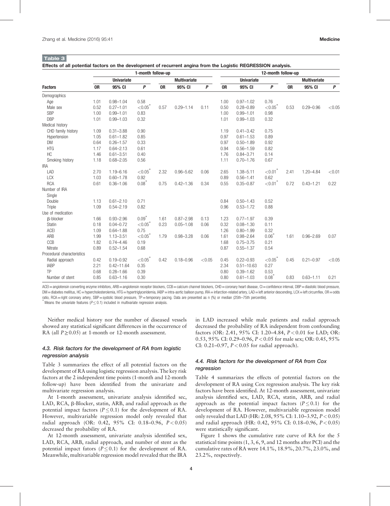|                            | 1-month follow-up |                   |                        |           |                     |        | 12-month follow-up |                   |                        |           |                     |        |
|----------------------------|-------------------|-------------------|------------------------|-----------|---------------------|--------|--------------------|-------------------|------------------------|-----------|---------------------|--------|
|                            |                   | <b>Univariate</b> |                        |           | <b>Multivariate</b> |        |                    | <b>Univariate</b> |                        |           | <b>Multivariate</b> |        |
| <b>Factors</b>             | <b>OR</b>         | 95% CI            | P                      | <b>OR</b> | 95% CI              | P      | <b>OR</b>          | 95% CI            | P                      | <b>OR</b> | 95% CI              | P      |
| Demographics               |                   |                   |                        |           |                     |        |                    |                   |                        |           |                     |        |
| Age                        | 1.01              | $0.98 - 1.04$     | 0.58                   |           |                     |        | 1.00               | $0.97 - 1.02$     | 0.76                   |           |                     |        |
| Male sex                   | 0.52              | $0.27 - 1.01$     | ${<}0.05$ <sup>*</sup> | 0.57      | $0.29 - 1.14$       | 0.11   | 0.50               | $0.28 - 0.89$     | ${<}0.05$ <sup>*</sup> | 0.53      | $0.29 - 0.96$       | < 0.05 |
| <b>SBP</b>                 | 1.00              | $0.99 - 1.01$     | 0.83                   |           |                     |        | 1.00               | $0.99 - 1.01$     | 0.98                   |           |                     |        |
| <b>DBP</b>                 | 1.01              | $0.99 - 1.03$     | 0.32                   |           |                     |        | 1.01               | $0.99 - 1.03$     | 0.32                   |           |                     |        |
| Medical history            |                   |                   |                        |           |                     |        |                    |                   |                        |           |                     |        |
| CHD family history         | 1.09              | $0.31 - 3.88$     | 0.90                   |           |                     |        | 1.19               | $0.41 - 3.42$     | 0.75                   |           |                     |        |
| Hypertension               | 1.05              | $0.61 - 1.82$     | 0.85                   |           |                     |        | 0.97               | $0.61 - 1.53$     | 0.89                   |           |                     |        |
| <b>DM</b>                  | 0.64              | $0.26 - 1.57$     | 0.33                   |           |                     |        | 0.97               | $0.50 - 1.89$     | 0.92                   |           |                     |        |
| <b>HTG</b>                 | 1.17              | $0.64 - 2.13$     | 0.61                   |           |                     |        | 0.94               | $0.56 - 1.59$     | 0.82                   |           |                     |        |
| <b>HC</b>                  | 1.46              | $0.61 - 3.51$     | 0.40                   |           |                     |        | 1.76               | $0.84 - 3.71$     | 0.14                   |           |                     |        |
| Smoking history            | 1.18              | $0.68 - 2.05$     | 0.56                   |           |                     |        | 1.11               | $0.70 - 1.76$     | 0.67                   |           |                     |        |
| <b>IRA</b>                 |                   |                   |                        |           |                     |        |                    |                   |                        |           |                     |        |
| LAD                        | 2.70              | $1.19 - 6.16$     | ${<}0.05$              | 2.32      | $0.96 - 5.62$       | 0.06   | 2.65               | $1.38 - 5.11$     | ${<}0.01$ <sup>*</sup> | 2.41      | $1.20 - 4.84$       | < 0.01 |
| <b>LCX</b>                 | 1.03              | $0.60 - 1.78$     | 0.92                   |           |                     |        | 0.89               | $0.56 - 1.41$     | 0.62                   |           |                     |        |
| <b>RCA</b>                 | 0.61              | $0.36 - 1.06$     | $0.08*$                | 0.75      | $0.42 - 1.36$       | 0.34   | 0.55               | $0.35 - 0.87$     | ${<}0.01$ <sup>*</sup> | 0.72      | $0.43 - 1.21$       | 0.22   |
| Number of IRA              |                   |                   |                        |           |                     |        |                    |                   |                        |           |                     |        |
| Single                     |                   |                   |                        |           |                     |        |                    |                   |                        |           |                     |        |
| Double                     | 1.13              | $0.61 - 2.10$     | 0.71                   |           |                     |        | 0.84               | $0.50 - 1.43$     | 0.52                   |           |                     |        |
| Triple                     | 1.09              | $0.54 - 2.19$     | 0.82                   |           |                     |        | 0.96               | $0.53 - 1.72$     | 0.88                   |           |                     |        |
| Use of medication          |                   |                   |                        |           |                     |        |                    |                   |                        |           |                     |        |
| <b>B-blocker</b>           | 1.66              | $0.93 - 2.96$     | $0.09*$                | 1.61      | $0.87 - 2.98$       | 0.13   | 1.23               | $0.77 - 1.97$     | 0.39                   |           |                     |        |
| Statin                     | 0.18              | $0.04 - 0.72$     | < 0.05                 | 0.23      | $0.05 - 1.08$       | 0.06   | 0.32               | $0.08 - 1.30$     | 0.11                   |           |                     |        |
| ACEI                       | 1.09              | $0.64 - 1.88$     | 0.75                   |           |                     |        | 1.26               | $0.80 - 1.99$     | 0.32                   |           |                     |        |
| ARB                        | 1.99              | $1.13 - 3.51$     | ${<}0.05$              | 1.79      | $0.98 - 3.28$       | 0.06   | 1.61               | $0.98 - 2.64$     | $0.06^{\degree}$       | 1.61      | $0.96 - 2.69$       | 0.07   |
| CCB                        | 1.82              | $0.74 - 4.46$     | 0.19                   |           |                     |        | 1.68               | $0.75 - 3.75$     | 0.21                   |           |                     |        |
| Nitrate                    | 0.89              | $0.52 - 1.54$     | 0.68                   |           |                     |        | 0.87               | $0.55 - 1.37$     | 0.54                   |           |                     |        |
| Procedural characteristics |                   |                   |                        |           |                     |        |                    |                   |                        |           |                     |        |
| Radial approach            | 0.42              | $0.19 - 0.92$     | ${<}0.05$              | 0.42      | $0.18 - 0.96$       | < 0.05 | 0.45               | $0.22 - 0.93$     | ${<}0.05$              | 0.45      | $0.21 - 0.97$       | < 0.05 |
| <b>IABP</b>                | 2.21              | $0.42 - 11.64$    | 0.35                   |           |                     |        | 2.34               | $0.51 - 10.63$    | 0.27                   |           |                     |        |
| <b>TP</b>                  | 0.68              | $0.28 - 1.66$     | 0.39                   |           |                     |        | 0.80               | $0.39 - 1.62$     | 0.53                   |           |                     |        |
| Number of stent            | 0.85              | $0.63 - 1.16$     | 0.30                   |           |                     |        | 0.80               | $0.61 - 1.03$     | $0.08^{\degree}$       | 0.83      | $0.63 - 1.11$       | 0.21   |

Effects of all potential factors on the development of recurrent angina from the Logistic REGRESSION analysis.

ACEI = angiotensin converting enzyme inhibitors, ARB = angiotensin receptor blockers, CCB = calcium channel blockers, CHD = coronary heart disease, CI = confidence interval, DBP = diastolic blood pressure, DM=diabetes mellitus, HC=hypercholesterolemia, HTG=hypertriglyceridemia, IABP=intra-aortic balloon pump, IRA=infarction-related artery, LAD=left anterior descending, LCX=left circumflex, OR=odds ratio, RCA=right coronary artery, SBP=systolic blood pressure, TP=temporary pacing. Data are presented as n (%) or median (25th–75th percentile).

Means the univariate features ( $P \le 0.1$ ) included in multivariate regression analysis.

Neither medical history nor the number of diseased vessels showed any statistical significant differences in the occurrence of RA (all  $P \ge 0.05$ ) at 1-month or 12-month assessment.

#### 4.3. Risk factors for the development of RA from logistic regression analysis

Table 3 summarizes the effect of all potential factors on the development of RA using logistic regression analysis. The key risk factors at the 2 independent time points (1-month and 12-month follow-up) have been identified from the univariate and multivariate regression analysis.

At 1-month assessment, univariate analysis identified sec, LAD, RCA,  $\beta$ -Blocker, statin, ARB, and radial approach as the potential impact factors ( $P \le 0.1$ ) for the development of RA. However, multivariable regression model only revealed that radial approach (OR: 0.42,  $95\%$  CI: 0.18–0.96,  $P < 0.05$ ) decreased the probability of RA.

At 12-month assessment, univariate analysis identified sex, LAD, RCA, ARB, radial approach, and number of stent as the potential impact fators ( $P \le 0.1$ ) for the development of RA. Meanwhile, multivariable regression model revealed that the IRA

in LAD increased while male patients and radial approach decreased the probability of RA independent from confounding factors (OR: 2.41, 95% CI: 1.20–4.84, P<0.01 for LAD; OR: 0.53, 95% CI: 0.29–0.96, P<0.05 for male sex; OR: 0.45, 95% CI: 0.21–0.97,  $P < 0.05$  for radial approach).

#### 4.4. Risk factors for the development of RA from Cox regression

Table 4 summarizes the effects of potential factors on the development of RA using Cox regression analysis. The key risk factors have been identified. At 12-month assessment, univariate analysis identified sex, LAD, RCA, statin, ARB, and radial approach as the potential impact factors ( $P \le 0.1$ ) for the development of RA. However, multivariable regression model only revealed that LAD (HR: 2.08, 95% CI: 1.10–3.92,  $P < 0.05$ ) and radial approach (HR: 0.42, 95% CI: 0.18-0.96,  $P < 0.05$ ) were statistically significant.

Figure 1 shows the cumulative rate curve of RA for the 5 statistical time points (1, 3, 6, 9, and 12 months after PCI) and the cumulative rates of RA were 14.1%, 18.9%, 20.7%, 23.0%, and 23.2%, respectively.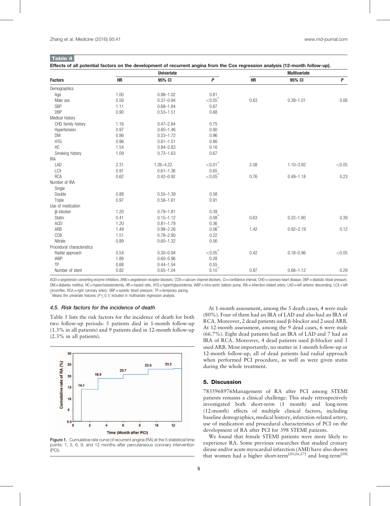| Effects of all potential factors on the development of recurrent angina from the Cox regression analysis (12-month follow-up). |  |  |
|--------------------------------------------------------------------------------------------------------------------------------|--|--|
|                                                                                                                                |  |  |

|                            |      | <b>Univariate</b> |                        |      | <b>Multivariate</b> |                  |
|----------------------------|------|-------------------|------------------------|------|---------------------|------------------|
| <b>Factors</b>             | HR   | 95% CI            | P                      | HR   | 95% CI              | $\boldsymbol{P}$ |
| Demographics               |      |                   |                        |      |                     |                  |
| Age                        | 1.00 | $0.98 - 1.02$     | 0.81                   |      |                     |                  |
| Male sex                   | 0.59 | $0.37 - 0.94$     | ${<}0.05$ <sup>*</sup> | 0.63 | $0.39 - 1.01$       | 0.06             |
| SBP                        | 1.11 | $0.68 - 1.84$     | 0.67                   |      |                     |                  |
| <b>DBP</b>                 | 0.90 | $0.53 - 1.51$     | 0.68                   |      |                     |                  |
| Medical history            |      |                   |                        |      |                     |                  |
| CHD family history         | 1.16 | $0.47 - 2.84$     | 0.75                   |      |                     |                  |
| Hypertension               | 0.97 | $0.65 - 1.46$     | 0.90                   |      |                     |                  |
| <b>DM</b>                  | 0.96 | $0.53 - 1.72$     | 0.96                   |      |                     |                  |
| <b>HTG</b>                 | 0.96 | $0.61 - 1.51$     | 0.86                   |      |                     |                  |
| HC                         | 1.54 | $0.84 - 2.83$     | 0.16                   |      |                     |                  |
| Smoking history            | 1.09 | $0.73 - 1.63$     | 0.67                   |      |                     |                  |
| <b>IRA</b>                 |      |                   |                        |      |                     |                  |
| LAD                        | 2.31 | $1.26 - 4.22$     | ${<}0.01*$             | 2.08 | $1.10 - 3.92$       | < 0.05           |
| <b>LCX</b>                 | 0.91 | $0.61 - 1.36$     | 0.65                   |      |                     |                  |
| <b>RCA</b>                 | 0.62 | $0.42 - 0.92$     | ${<}0.05$ <sup>*</sup> | 0.76 | $0.49 - 1.18$       | 0.23             |
| Number of IRA              |      |                   |                        |      |                     |                  |
| Single                     |      |                   |                        |      |                     |                  |
| Double                     | 0.88 | $0.55 - 1.39$     | 0.58                   |      |                     |                  |
| Triple                     | 0.97 | $0.58 - 1.61$     | 0.91                   |      |                     |                  |
| Use of medication          |      |                   |                        |      |                     |                  |
| <b>ß-blocker</b>           | 1.20 | $0.79 - 1.81$     | 0.39                   |      |                     |                  |
| Statin                     | 0.41 | $0.15 - 1.12$     | $0.08*$                | 0.63 | $0.22 - 1.80$       | 0.39             |
| <b>ACEI</b>                | 1.20 | $0.81 - 1.79$     | 0.36                   |      |                     |                  |
| ARB                        | 1.49 | $0.98 - 2.26$     | $0.06*$                | 1.42 | $0.92 - 2.19$       | 0.12             |
| CCB                        | 1.51 | $0.78 - 2.90$     | 0.22                   |      |                     |                  |
| Nitrate                    | 0.89 | $0.60 - 1.32$     | 0.56                   |      |                     |                  |
| Procedural characteristics |      |                   |                        |      |                     |                  |
| Radial approach            | 0.54 | $0.30 - 0.94$     | $< 0.05$ <sup>*</sup>  | 0.42 | $0.18 - 0.96$       | < 0.05           |
| <b>IABP</b>                | 1.89 | $0.60 - 5.96$     | 0.28                   |      |                     |                  |
| TP                         | 0.68 | $0.44 - 1.54$     | 0.55                   |      |                     |                  |
| Number of stent            | 0.82 | $0.65 - 1.04$     | $0.10*$                | 0.87 | $0.68 - 1.12$       | 0.29             |

ACEI=angiotensin converting enzyme inhibitors, ARB=angiotensin receptor blockers, CCB=calcium channel blockers, CI=confidence interval, CHD=coronary heart disease, DBP=diastolic blood pressure, DM=diabetes mellitus, HC=hypercholesterolemia, HR=hazard ratio, HTG=hypertriglyceridemia, IABP=intra-aortic balloon pump, IRA=infarction-related artery, LAD=left anterior descending, LCX=left circumflex, RCA=right coronary artery; SBP=systolic blood pressure, TP=temporary pacing.

Means the univariate features ( $P \leq 0.1$ ) included in multivariate regression analysis.

#### 4.5. Risk factors for the incidence of death

Table 5 lists the risk factors for the incidence of death for both two follow-up periods: 5 patients died in 1-month follow-up (1.3% in all patients) and 9 patients died in 12-month follow-up (2.3% in all patients).



Figure 1. Cumulative rate curve of recurrent angina (RA) at the 5 statistical time points: 1, 3, 6, 9, and 12 months after percutaneous coronary intervention (PCI).

At 1-month assessment, among the 5 death cases, 4 were male (80%). Four of them had an IRA of LAD and also had an IRA of RCA. Moreover, 2 dead patients used  $\beta$ -blocker and 2 used ARB. At 12-month assessment, among the 9 dead cases, 6 were male (66.7%). Eight dead patients had an IRA of LAD and 7 had an IRA of RCA. Moreover, 4 dead patients used  $\beta$ -blocker and 3 used ARB. Most importantly, no matter in 1-month follow-up or 12-month follow-up, all of dead patients had radial approach when performed PCI procedure, as well as were given statin during the whole treatment.

#### 5. Discussion

7835968976Management of RA after PCI among STEMI patients remains a clinical challenge. This study retrospectively investigated both short-term (1 month) and long-term (12-month) effects of multiple clinical factors, including baseline demographics, medical history, infarction-related artery, use of medication and procedural characteristics of PCI on the development of RA after PCI for 398 STEMI patients.

We found that female STEMI patients were more likely to experience RA. Some previous researches that studied cronary diease and/or acute myocardial infarction (AMI) have also shown that women had a higher short-term<sup>[20,26,27]</sup> and long-term<sup>[28]</sup>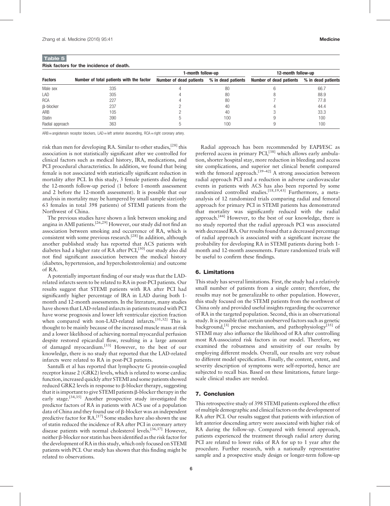| Risk factors for the incidence of death. |                                          |                         |                    |                         |                    |  |  |  |  |
|------------------------------------------|------------------------------------------|-------------------------|--------------------|-------------------------|--------------------|--|--|--|--|
| <b>Factors</b>                           |                                          | 1-month follow-up       |                    | 12-month follow-up      |                    |  |  |  |  |
|                                          | Number of total patients with the factor | Number of dead patients | % in dead patients | Number of dead patients | % in dead patients |  |  |  |  |
| Male sex                                 | 335                                      |                         | 80                 |                         | 66.7               |  |  |  |  |
| LAD                                      | 305                                      |                         | 80                 |                         | 88.9               |  |  |  |  |
| <b>RCA</b>                               | 227                                      |                         | 80                 |                         | 77.8               |  |  |  |  |
| <b>B-blocker</b>                         | 237                                      |                         | 40                 |                         | 44.4               |  |  |  |  |
| ARB                                      | 105                                      |                         | 40                 |                         | 33.3               |  |  |  |  |
| <b>Statin</b>                            | 390                                      |                         | 100                |                         | 100                |  |  |  |  |
| Radial approach                          | 363                                      |                         | 100                |                         | 100                |  |  |  |  |

ARB = angiotensin receptor blockers, LAD = left anterior descending, RCA = right coronary artery.

risk than men for developing RA. Similar to other studies,  $^{[28]}$  this association is not statistically significant after we controlled for clinical factors such as medical history, IRA, medications, and PCI procedural characteristics. In addition, we found that being female is not associated with statistically significant reduction in mortality after PCI. In this study, 3 female patients died during the 12-month follow-up period (1 before 1-month assessment and 2 before the 12-month assessment). It is possible that our analysis in mortality may be hampered by small sample size(only 63 females in total 398 patients) of STEMI patients from the Northwest of China.

The previous studies have shown a link between smoking and angina in AMI patients.[26,29] However, our study did not find an association between smoking and occurrence of RA, which is consistent with some previous research.<sup>[28]</sup> In addition, although another published study has reported that ACS patients with diabetes had a higher rate of RA after PCI,<sup>[30]</sup> our study also did not find significant association between the medical history (diabetes, hypertension, and hypercholesterolemia) and outcome of RA.

A potentially important finding of our study was that the LADrelated infarcts seem to be related to RA in post-PCI patients. Our results suggest that STEMI patients with RA after PCI had significantly higher percentage of IRA in LAD during both 1 month and 12-month assessments. In the literature, many studies have shown that LAD-related infarcts in patients treated with PCI have worse prognosis and lower left ventricular ejection fraction when compared with non-LAD-related infarcts.[31,32] This is thought to be mainly because of the increased muscle mass at risk and a lower likelihood of achieving normal myocardial perfusion despite restored epicardial flow, resulting in a large amount of damaged myocardium.[33] However, to the best of our knowledge, there is no study that reported that the LAD-related infarcts were related to RA in post-PCI patients.

Santulli et al has reported that lymphocyte G protein-coupled receptor kinase 2 (GRK2) levels, which is related to worse cardiac function, increased quickly after STEMI and some patients showed reduced GRK2 levels in response to  $\beta$ -blocker therapy, suggesting that it is important to give STEMI patients  $\beta$ -blocker therapy in the early stage.<sup>[34,35]</sup> Another prospective study investigated the predictor factors of RA in patients with ACS use of a population data of China and they found use of  $\beta$ -blocker was an independent predictive factor for RA.[17] Some studies have also shown the use of statin reduced the incidence of RA after PCI in coronary artery disease patients with normal cholesterol levels.<sup>[36,37]</sup> However, neither b-blocker nor statin has been identified as the risk factor for the development of RA in this study, which only focused on STEMI patients with PCI. Our study has shown that this finding might be related to observations.

Radial approach has been recommended by EAPI/ESC as preferred access in primary PCI,<sup>[38]</sup> which allows early ambulation, shorter hospital stay, more reduction in bleeding and access site complications, and superior net clinical benefit compared with the femoral approach.<sup>[39–42]</sup> A strong association between radial approach PCI and a reduction in adverse cardiovascular events in patients with ACS has also been reported by some randomized controlled studies.<sup>[18,19,43]</sup> Furthermore, a metaanalysis of 12 randomized trials comparing radial and femoral approach for primary PCI in STEMI patients has demonstrated that mortality was significantly reduced with the radial approach.[44] However, to the best of our knowledge, there is no study reported that the radial approach PCI was associated with decreased RA. Our results found that a decreased percentage of radial approach is associated with a significant increase the probability for developing RA in STEMI patients during both 1 month and 12-month assessments. Future randomized trials will be useful to confirm these findings.

#### 6. Limitations

This study has several limitations. First, the study had a relatively small number of patients from a single center; therefore, the results may not be generalizable to other population. However, this study focused on the STEMI patients from the northwest of China only and provided useful insights regarding the occurrence of RA in the targeted population. Second, this is an observational study. It is possible that certain unobserved factors such as genetic background,<sup>[3]</sup> precise mechanism, and pathophysiology<sup>[35]</sup> of STEMI may also influence the likelihood of RA after controlling most RA-associated risk factors in our model. Therefore, we examined the robustness and sensitivity of our results by employing different models. Overall, our results are very robust to different model specification. Finally, the content, extent, and severity description of symptoms were self-reported, hence are subjected to recall bias. Based on these limitations, future largescale clinical studies are needed.

#### 7. Conclusion

This retrospective study of 398 STEMI patients explored the effect of multiple demographic and clinical factors on the development of RA after PCI. Our results suggest that patients with infarction of left anterior descending artery were associated with higher risk of RA during the follow-up. Compared with femoral approach, patients experienced the treatment through radial artery during PCI are related to lower risks of RA for up to 1 year after the procedure. Further research, with a nationally representative sample and a prospective study design or longer-term follow-up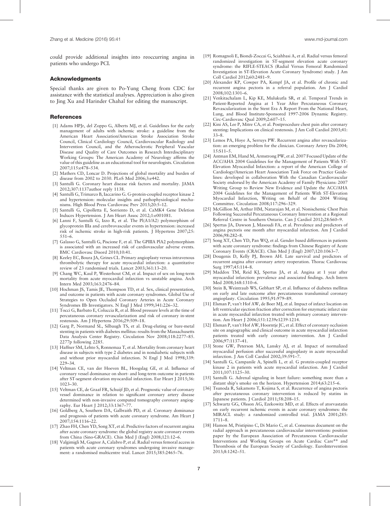could provide additional insights into reoccurring angina in patients who undergo PCI.

#### Acknowledgments

Special thanks are given to Po-Yung Cheng from CDC for assistance with the statistical analyses. Appreciation is also given to Jing Xu and Harinder Chahal for editing the manuscript.

#### References

- [1] Adams HPJr, del Zoppo G, Alberts MJ, et al. Guidelines for the early management of adults with ischemic stroke: a guideline from the American Heart Association/American Stroke Association Stroke Council, Clinical Cardiology Council, Cardiovascular Radiology and Intervention Council, and the Atherosclerotic Peripheral Vascular Disease and Quality of Care Outcomes in Research Interdisciplinary Working Groups: The American Academy of Neurology affirms the value of this guideline as an educational tool for neurologists. Circulation 2007;115:e478–534.
- [2] Mathers CD, Loncar D. Projections of global mortality and burden of disease from 2002 to 2030. PLoS Med 2006;3:e442.
- [3] Santulli G. Coronary heart disease risk factors and mortality. JAMA 2012;307:1137author reply 1138.
- [4] Santulli G, Trimarco B, Iaccarino G. G-protein-coupled receptor kinase 2 and hypertension: molecular insights and pathophysiological mechanisms. High Blood Press Cardiovasc Prev 2013;20:5–12.
- [5] Santulli G, Cipolletta E, Sorriento D, et al. CaMK4 Gene Deletion Induces Hypertension. J Am Heart Assoc 2012;1:e001081.
- [6] Lanni F, Santulli G, Izzo R, et al. The Pl(A1/A2) polymorphism of glycoprotein IIIa and cerebrovascular events in hypertension: increased risk of ischemic stroke in high-risk patients. J Hypertens 2007;25: 551–6.
- [7] Galasso G, Santulli G, Piscione F, et al. The GPIIIA PlA2 polymorphism is associated with an increased risk of cardiovascular adverse events. BMC Cardiovasc Disord 2010;10:41.
- [8] Keeley EC, Boura JA, Grines CL. Primary angioplasty versus intravenous thrombolytic therapy for acute myocardial infarction: a quantitative review of 23 randomised trials. Lancet 2003;361:13–20.
- [9] Chang WC, Kaul P, Westerhout CM, et al. Impact of sex on long-term mortality from acute myocardial infarction vs unstable angina. Arch Intern Med 2003;163:2476–84.
- [10] Hochman JS, Tamis JE, Thompson TD, et al. Sex, clinical presentation, and outcome in patients with acute coronary syndromes. Global Use of Strategies to Open Occluded Coronary Arteries in Acute Coronary Syndromes IIb Investigators. N Engl J Med 1999;341:226–32.
- [11] Tocci G, Barbato E, Coluccia R, et al. Blood pressure levels at the time of percutaneous coronary revascularization and risk of coronary in-stent restenosis. Am J Hypertens 2016;29:509–18.
- [12] Garg P, Normand SL, Silbaugh TS, et al. Drug-eluting or bare-metal stenting in patients with diabetes mellitus: results from the Massachusetts Data Analysis Center Registry. Circulation Nov 2008;118:2277–85. 2277p following 2285.
- [13] Haffner SM, Lehto S, Ronnemaa T, et al. Mortality from coronary heart disease in subjects with type 2 diabetes and in nondiabetic subjects with and without prior myocardial infarction. N Engl J Med 1998;339: 229–34.
- [14] Veltman CE, van der Hoeven BL, Hoogslag GE, et al. Influence of coronary vessel dominance on short- and long-term outcome in patients after ST-segment elevation myocardial infarction. Eur Heart J 2015;36: 1023–30.
- [15] Veltman CE, de Graaf FR, Schuijf JD, et al. Prognostic value of coronary vessel dominance in relation to significant coronary artery disease determined with non-invasive computed tomography coronary angiography. Eur Heart J 2012;33:1367–77.
- [16] Goldberg A, Southern DA, Galbraith PD, et al. Coronary dominance and prognosis of patients with acute coronary syndrome. Am Heart J 2007;154:1116–22.
- [17] Zhao FH, Chen YD, Song XT, et al. Predictive factors of recurrent angina after acute coronary syndrome: the global registry acute coronary events from China (Sino-GRACE). Chin Med J (Engl) 2008;121:12–6.
- [18] Valgimigli M, Gagnor A, Calabro P, et al. Radial versus femoral access in patients with acute coronary syndromes undergoing invasive management: a randomised multicentre trial. Lancet 2015;385:2465–76.
- [19] Romagnoli E, Biondi-Zoccai G, Sciahbasi A, et al. Radial versus femoral randomized investigation in ST-segment elevation acute coronary syndrome: the RIFLE-STEACS (Radial Versus Femoral Randomized Investigation in ST-Elevation Acute Coronary Syndrome) study. J Am Coll Cardiol 2012;60:2481–9.
- [20] Alexander KP, Cowper PA, Kempf JA, et al. Profile of chronic and recurrent angina pectoris in a referral population. Am J Cardiol 2008;102:1301–6.
- [21] Venkitachalam L, Kip KE, Mulukutla SR, et al. Temporal Trends in Patient-Reported Angina at 1 Year After Percutaneous Coronary Revascularization in the Stent Era A Report From the National Heart, Lung, and Blood Institute-Sponsored 1997-2006 Dynamic Registry. Circ-Cardiovasc Qual 2009;2:607–15.
- [22] Kini AS, Lee P, Mitre CA, et al. Postprocedure chest pain after coronary stenting: Implications on clinical restenosis. J Am Coll Cardiol 2003;41: 33–8.
- [23] Lemos PA, Hoye A, Serruys PW. Recurrent angina after revascularization: an emerging problem for the clinician. Coronary Artery Dis 2004; 15:S11–5.
- [24] Antman EM, Hand M, Armstrong PW, et al. 2007 Focused Update of the ACC/AHA 2004 Guidelines for the Management of Patients With ST-Elevation Myocardial Infarction: a report of the American College of Cardiology/American Heart Association Task Force on Practice Guidelines: developed in collaboration With the Canadian Cardiovascular Society endorsed by the American Academy of Family Physicians: 2007 Writing Group to Review New Evidence and Update the ACC/AHA 2004 Guidelines for the Management of Patients With ST-Elevation Myocardial Infarction, Writing on Behalf of the 2004 Writing Committee. Circulation 2008;117:296–329.
- [25] McGillion M, Arthur HM, Natarajan M, et al. Nonischemic Chest Pain Following Successful Percutaneous Coronary Intervention at a Regional Referral Centre in Southern Ontario. Can J Cardiol 2012;28:S60–9.
- [26] Spertus JA, Dawson J, Masoudi FA, et al. Prevalence and predictors of angina pectoris one month after myocardial infarction. Am J Cardiol 2006;98:282–8.
- [27] Song XT, Chen YD, Pan WQ, et al. Gender based differences in patients with acute coronary syndrome: findings from Chinese Registry of Acute Coronary Events (CRACE). Chin Med J (Engl) 2007;120:1063–7.
- [28] Dougenis D, Kelly PJ, Brown AH. Late survival and predictors of recurrent angina after coronary artery reoperation. Thorac Cardiovasc Surg 1997;45:114–8.
- [29] Maddox TM, Reid KJ, Spertus JA, et al. Angina at 1 year after myocardial infarction: prevalence and associated findings. Arch Intern Med 2008;168:1310–6.
- [30] Stein B, Weintraub WS, Gebhart SP, et al. Influence of diabetes mellitus on early and late outcome after percutaneous transluminal coronary angioplasty. Circulation 1995;91:979–89.
- [31] Elsman P, van't Hof AW, de Boer MJ, et al. Impact of infarct location on left ventricular ejection fraction after correction for enzymatic infarct size in acute myocardial infarction treated with primary coronary intervention. Am Heart J 2006;151:1239e1239-1214.
- [32] Elsman P, van't Hof AW, Hoorntje JC, et al. Effect of coronary occlusion site on angiographic and clinical outcome in acute myocardial infarction patients treated with early coronary intervention. Am J Cardiol 2006;97:1137–41.
- [33] Stone GW, Peterson MA, Lansky AJ, et al. Impact of normalized myocardial perfusion after successful angioplasty in acute myocardial infarction. J Am Coll Cardiol 2002;39:591–7.
- [34] Santulli G, Campanile A, Spinelli L, et al. G protein-coupled receptor kinase 2 in patients with acute myocardial infarction. Am J Cardiol 2011;107:1125–30.
- [35] Santulli G. Adrenal signaling in heart failure: something more than a distant ship's smoke on the horizon. Hypertension 2014;63:215–6.
- [36] Tsunoda R, Sakamoto T, Kojima S, et al. Recurrence of angina pectoris after percutaneous coronary intervention is reduced by statins in Japanese patients. J Cardiol 2011;58:208–15.
- [37] Schwartz GG, Olsson AG, Ezekowitz MD, et al. Effects of atorvastatin on early recurrent ischemic events in acute coronary syndromes: the MIRACL study: a randomized controlled trial. JAMA 2001;285: 1711–8.
- [38] Hamon M, Pristipino C, Di Mario C, et al. Consensus document on the radial approach in percutaneous cardiovascular interventions: position paper by the European Association of Percutaneous Cardiovascular Interventions and Working Groups on Acute Cardiac Care∗∗ and Thrombosis of the European Society of Cardiology. EuroIntervention 2013;8:1242–51.